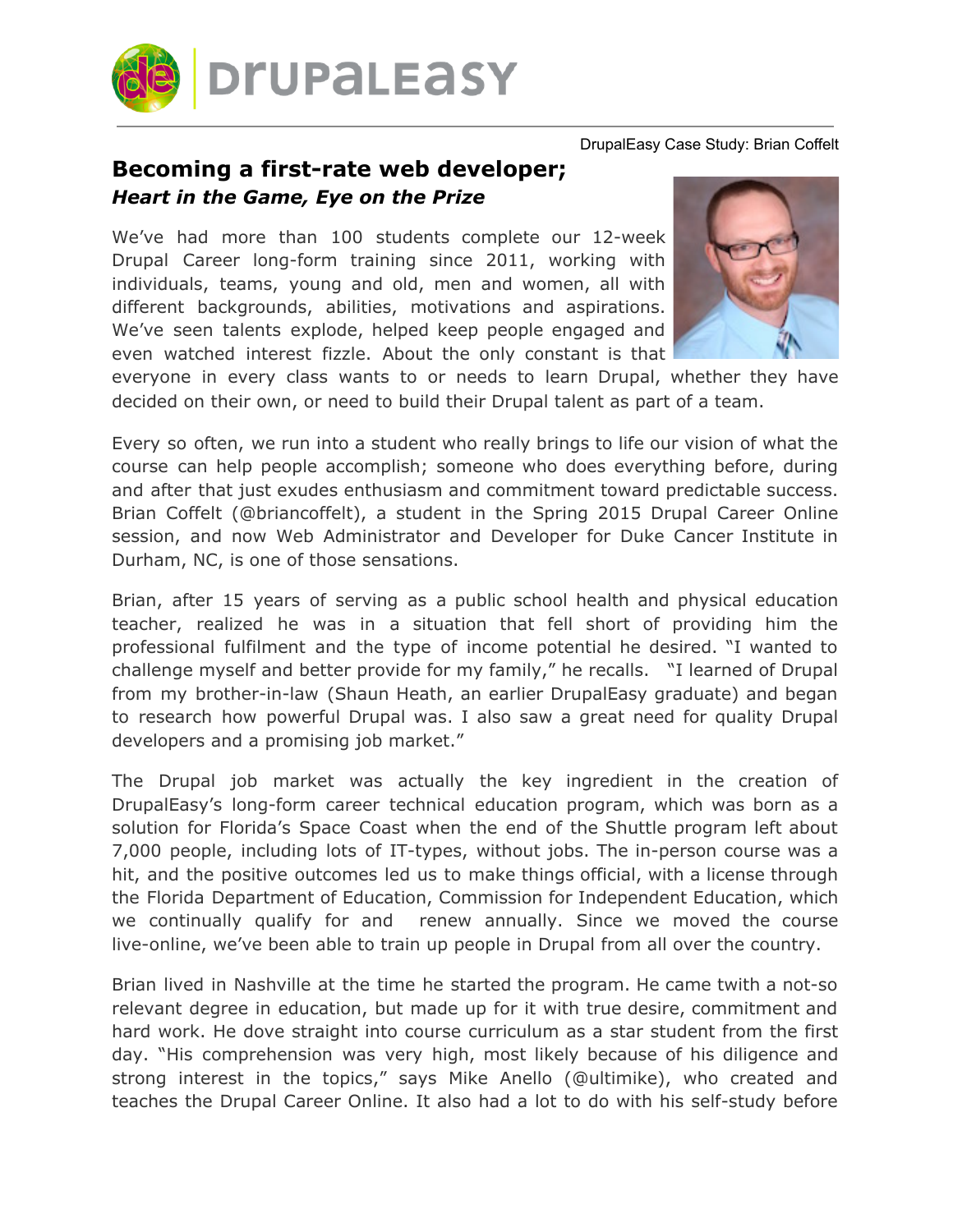

## DrupalEasy Case Study: Brian Coffelt

## **Becoming a first-rate web developer;** *Heart in the Game, Eye on the Prize*

We've had more than 100 students complete our 12-week Drupal Career long-form training since 2011, working with individuals, teams, young and old, men and women, all with different backgrounds, abilities, motivations and aspirations. We've seen talents explode, helped keep people engaged and even watched interest fizzle. About the only constant is that



everyone in every class wants to or needs to learn Drupal, whether they have decided on their own, or need to build their Drupal talent as part of a team.

Every so often, we run into a student who really brings to life our vision of what the course can help people accomplish; someone who does everything before, during and after that just exudes enthusiasm and commitment toward predictable success. Brian Coffelt (@briancoffelt), a student in the Spring 2015 Drupal Career Online session, and now Web Administrator and Developer for Duke Cancer Institute in Durham, NC, is one of those sensations.

Brian, after 15 years of serving as a public school health and physical education teacher, realized he was in a situation that fell short of providing him the professional fulfilment and the type of income potential he desired. "I wanted to challenge myself and better provide for my family," he recalls. "I learned of Drupal from my brother-in-law (Shaun Heath, an earlier DrupalEasy graduate) and began to research how powerful Drupal was. I also saw a great need for quality Drupal developers and a promising job market."

The Drupal job market was actually the key ingredient in the creation of DrupalEasy's long-form career technical education program, which was born as a solution for Florida's Space Coast when the end of the Shuttle program left about 7,000 people, including lots of IT-types, without jobs. The in-person course was a hit, and the positive outcomes led us to make things official, with a license through the Florida Department of Education, Commission for Independent Education, which we continually qualify for and renew annually. Since we moved the course live-online, we've been able to train up people in Drupal from all over the country.

Brian lived in Nashville at the time he started the program. He came twith a not-so relevant degree in education, but made up for it with true desire, commitment and hard work. He dove straight into course curriculum as a star student from the first day. "His comprehension was very high, most likely because of his diligence and strong interest in the topics," says Mike Anello (@ultimike), who created and teaches the Drupal Career Online. It also had a lot to do with his self-study before